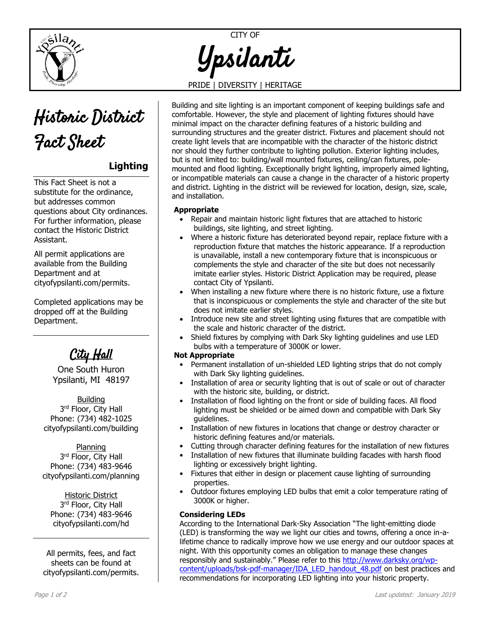



## **Lighting**

This Fact Sheet is not a substitute for the ordinance, but addresses common questions about City ordinances. For further information, please contact the Historic District Assistant.

All permit applications are available from the Building Department and at [cityofypsilanti.com/permits.](http://www.cityofypsilanti.com/permits)

Completed applications may be dropped off at the Building Department.

<u>'Ju Hall</u>

One South Huron Ypsilanti, MI 48197

**Building** 3<sup>rd</sup> Floor, City Hall Phone: (734) 482-1025 [cityofypsilanti.com/building](http://www.cityofypsilanti.com/building)

Planning 3<sup>rd</sup> Floor, City Hall Phone: (734) 483-9646 [cityofypsilanti.com/planning](http://www.cityofypsilanti.com/planning)

Historic District 3<sup>rd</sup> Floor, City Hall Phone: (734) 483-9646 [cityofypsilanti.com/hd](http://www.cityofypsilanti.com/hdc)

All permits, fees, and fact sheets can be found at [cityofypsilanti.com/permits.](http://www.cityofypsilanti.com/permits)

# CITY OF Ypsilanti

### PRIDE | DIVERSITY | HERITAGE

Building and site lighting is an important component of keeping buildings safe and comfortable. However, the style and placement of lighting fixtures should have minimal impact on the character defining features of a historic building and surrounding structures and the greater district. Fixtures and placement should not create light levels that are incompatible with the character of the historic district nor should they further contribute to lighting pollution. Exterior lighting includes, but is not limited to: building/wall mounted fixtures, ceiling/can fixtures, polemounted and flood lighting. Exceptionally bright lighting, improperly aimed lighting, or incompatible materials can cause a change in the character of a historic property and district. Lighting in the district will be reviewed for location, design, size, scale, and installation.

#### **Appropriate**

- Repair and maintain historic light fixtures that are attached to historic buildings, site lighting, and street lighting.
- Where a historic fixture has deteriorated beyond repair, replace fixture with a reproduction fixture that matches the historic appearance. If a reproduction is unavailable, install a new contemporary fixture that is inconspicuous or complements the style and character of the site but does not necessarily imitate earlier styles. Historic District Application may be required, please contact City of Ypsilanti.
- When installing a new fixture where there is no historic fixture, use a fixture that is inconspicuous or complements the style and character of the site but does not imitate earlier styles.
- Introduce new site and street lighting using fixtures that are compatible with the scale and historic character of the district.
- Shield fixtures by complying with Dark Sky lighting guidelines and use LED bulbs with a temperature of 3000K or lower.

#### **Not Appropriate**

- Permanent installation of un-shielded LED lighting strips that do not comply with Dark Sky lighting guidelines.
- Installation of area or security lighting that is out of scale or out of character with the historic site, building, or district.
- Installation of flood lighting on the front or side of building faces. All flood lighting must be shielded or be aimed down and compatible with Dark Sky guidelines.
- Installation of new fixtures in locations that change or destroy character or historic defining features and/or materials.
- Cutting through character defining features for the installation of new fixtures
- Installation of new fixtures that illuminate building facades with harsh flood lighting or excessively bright lighting.
- Fixtures that either in design or placement cause lighting of surrounding properties.
- Outdoor fixtures employing LED bulbs that emit a color temperature rating of 3000K or higher.

#### **Considering LEDs**

According to the International Dark-Sky Association "The light-emitting diode (LED) is transforming the way we light our cities and towns, offering a once in-alifetime chance to radically improve how we use energy and our outdoor spaces at night. With this opportunity comes an obligation to manage these changes responsibly and sustainably." Please refer to this [http://www.darksky.org/wp](http://www.darksky.org/wp-content/uploads/bsk-pdf-manager/IDA_LED_handout_48.pdf)[content/uploads/bsk-pdf-manager/IDA\\_LED\\_handout\\_48.pdf](http://www.darksky.org/wp-content/uploads/bsk-pdf-manager/IDA_LED_handout_48.pdf) on best practices and recommendations for incorporating LED lighting into your historic property.